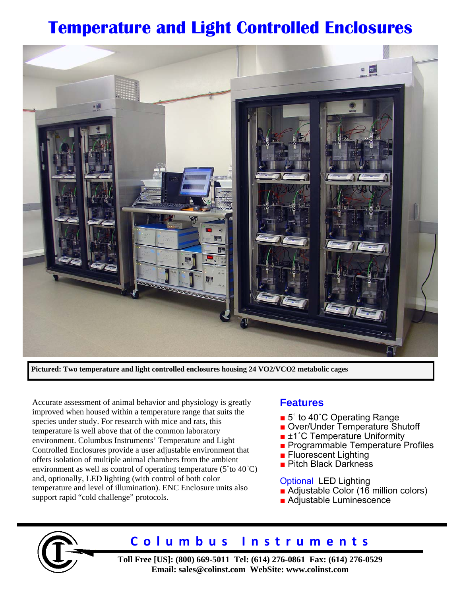# **Temperature and Light Controlled Enclosures**



**Pictured: Two temperature and light controlled enclosures housing 24 VO2/VCO2 metabolic cages** 

Accurate assessment of animal behavior and physiology is greatly improved when housed within a temperature range that suits the species under study. For research with mice and rats, this temperature is well above that of the common laboratory environment. Columbus Instruments' Temperature and Light Controlled Enclosures provide a user adjustable environment that offers isolation of multiple animal chambers from the ambient environment as well as control of operating temperature (5˚to 40˚C) and, optionally, LED lighting (with control of both color temperature and level of illumination). ENC Enclosure units also support rapid "cold challenge" protocols.

### **Features**

- 5° to 40°C Operating Range
- Over/Under Temperature Shutoff
- ±1°C Temperature Uniformity
- Programmable Temperature Profiles
- Fluorescent Lighting
- Pitch Black Darkness

Optional LED Lighting ■ Adjustable Color (16 million colors)

■ Adjustable Luminescence



## **Columbus Instruments**

**Toll Free [US]: (800) 669-5011 Tel: (614) 276-0861 Fax: (614) 276-0529 Email: sales@colinst.com WebSite: www.colinst.com**